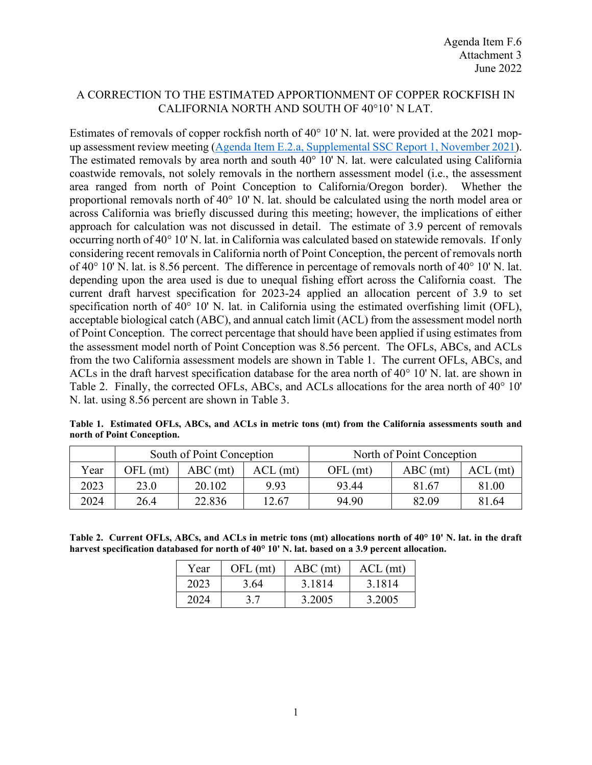## A CORRECTION TO THE ESTIMATED APPORTIONMENT OF COPPER ROCKFISH IN CALIFORNIA NORTH AND SOUTH OF 40°10' N LAT.

Estimates of removals of copper rockfish north of 40° 10' N. lat. were provided at the 2021 mopup assessment review meeting [\(Agenda Item E.2.a, Supplemental SSC Report 1, November 2021\)](https://www.pcouncil.org/documents/2021/11/e-2-a-supplemental-ssc-report-1-2.pdf/). The estimated removals by area north and south 40° 10' N. lat. were calculated using California coastwide removals, not solely removals in the northern assessment model (i.e., the assessment area ranged from north of Point Conception to California/Oregon border). Whether the proportional removals north of  $40^{\circ}$  10' N. lat. should be calculated using the north model area or across California was briefly discussed during this meeting; however, the implications of either approach for calculation was not discussed in detail. The estimate of 3.9 percent of removals occurring north of 40° 10' N. lat. in California was calculated based on statewide removals. If only considering recent removals in California north of Point Conception, the percent of removals north of 40° 10' N. lat. is 8.56 percent. The difference in percentage of removals north of 40° 10' N. lat. depending upon the area used is due to unequal fishing effort across the California coast. The current draft harvest specification for 2023-24 applied an allocation percent of 3.9 to set specification north of 40° 10' N. lat. in California using the estimated overfishing limit (OFL), acceptable biological catch (ABC), and annual catch limit (ACL) from the assessment model north of Point Conception. The correct percentage that should have been applied if using estimates from the assessment model north of Point Conception was 8.56 percent. The OFLs, ABCs, and ACLs from the two California assessment models are shown in Table 1. The current OFLs, ABCs, and ACLs in the draft harvest specification database for the area north of 40° 10' N. lat. are shown in Table 2. Finally, the corrected OFLs, ABCs, and ACLs allocations for the area north of 40° 10' N. lat. using 8.56 percent are shown in Table 3.

**Table 1. Estimated OFLs, ABCs, and ACLs in metric tons (mt) from the California assessments south and north of Point Conception.** 

|      | South of Point Conception |            |            | North of Point Conception |            |             |
|------|---------------------------|------------|------------|---------------------------|------------|-------------|
| Year | OFL (mt)                  | $ABC$ (mt) | $ACL$ (mt) | $OFL$ (mt)                | $ABC$ (mt) | ACL<br>(mt) |
| 2023 | 23.0                      | 20.102     | 9.93       | 93.44                     | 81.67      | 81.00       |
| 2024 | 26.4                      | 22.836     | 12.67      | 94.90                     | 82.09      | 81.64       |

**Table 2. Current OFLs, ABCs, and ACLs in metric tons (mt) allocations north of 40° 10' N. lat. in the draft harvest specification databased for north of 40° 10' N. lat. based on a 3.9 percent allocation.**

| Year | OFL (mt) | $ABC$ (mt) | $ACL$ (mt) |
|------|----------|------------|------------|
| 2023 | 3.64     | 3.1814     | 3.1814     |
| 2024 | 3.7      | 3.2005     | 3.2005     |